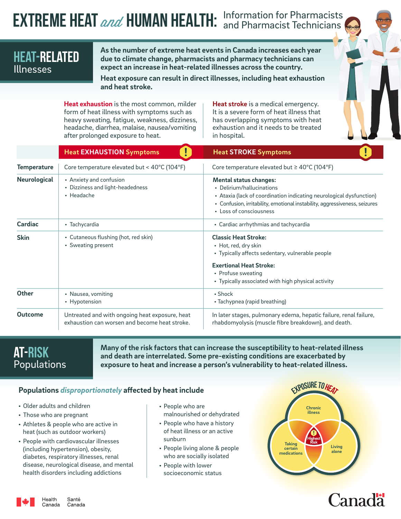# **EXTREME HEAT** *and* HUMAN HEALTH: Information for Pharmacists

## HEAT-RELATED Illnesses

**As the number of extreme heat events in Canada increases each year due to climate change, pharmacists and pharmacy technicians can expect an increase in heat-related illnesses across the country.** 

**Heat exposure can result in direct illnesses, including heat exhaustion and heat stroke.** 

**Heat exhaustion** is the most common, milder form of heat illness with symptoms such as heavy sweating, fatigue, weakness, dizziness, headache, diarrhea, malaise, nausea/vomiting after prolonged exposure to heat.

**Heat stroke** is a medical emergency. It is a severe form of heat illness that has overlapping symptoms with heat exhaustion and it needs to be treated in hospital.

|                     | <b>Heat EXHAUSTION Symptoms</b>                                                                 | <b>Heat STROKE Symptoms</b>                                                                                                                                                                                                                |
|---------------------|-------------------------------------------------------------------------------------------------|--------------------------------------------------------------------------------------------------------------------------------------------------------------------------------------------------------------------------------------------|
| <b>Temperature</b>  | Core temperature elevated but < 40°C (104°F)                                                    | Core temperature elevated but $\geq 40^{\circ}$ C (104°F)                                                                                                                                                                                  |
| <b>Neurological</b> | • Anxiety and confusion<br>• Dizziness and light-headedness<br>• Headache                       | <b>Mental status changes:</b><br>• Delirium/hallucinations<br>• Ataxia (lack of coordination indicating neurological dysfunction)<br>• Confusion, irritability, emotional instability, aggressiveness, seizures<br>• Loss of consciousness |
| <b>Cardiac</b>      | • Tachycardia                                                                                   | • Cardiac arrhythmias and tachycardia                                                                                                                                                                                                      |
| <b>Skin</b>         | • Cutaneous flushing (hot, red skin)<br>• Sweating present                                      | <b>Classic Heat Stroke:</b><br>• Hot, red, dry skin<br>• Typically affects sedentary, vulnerable people<br><b>Exertional Heat Stroke:</b><br>• Profuse sweating<br>• Typically associated with high physical activity                      |
| <b>Other</b>        | • Nausea, vomiting<br>• Hypotension                                                             | $\cdot$ Shock<br>• Tachypnea (rapid breathing)                                                                                                                                                                                             |
| <b>Outcome</b>      | Untreated and with ongoing heat exposure, heat<br>exhaustion can worsen and become heat stroke. | In later stages, pulmonary edema, hepatic failure, renal failure,<br>rhabdomyolysis (muscle fibre breakdown), and death.                                                                                                                   |

## AT-RISK Populations

**Many of the risk factors that can increase the susceptibility to heat-related illness and death are interrelated. Some pre-existing conditions are exacerbated by exposure to heat and increase a person's vulnerability to heat-related illness.**

#### **Populations** *disproportionately* **affected by heat include**

- Older adults and children
- Those who are pregnant
- Athletes & people who are active in heat (such as outdoor workers)
- People with cardiovascular illnesses (including hypertension), obesity, diabetes, respiratory illnesses, renal disease, neurological disease, and mental health disorders including addictions
- People who are malnourished or dehydrated
- People who have a history of heat illness or an active sunburn
- People living alone & people who are socially isolated
- People with lower socioeconomic status



## *Canadä*